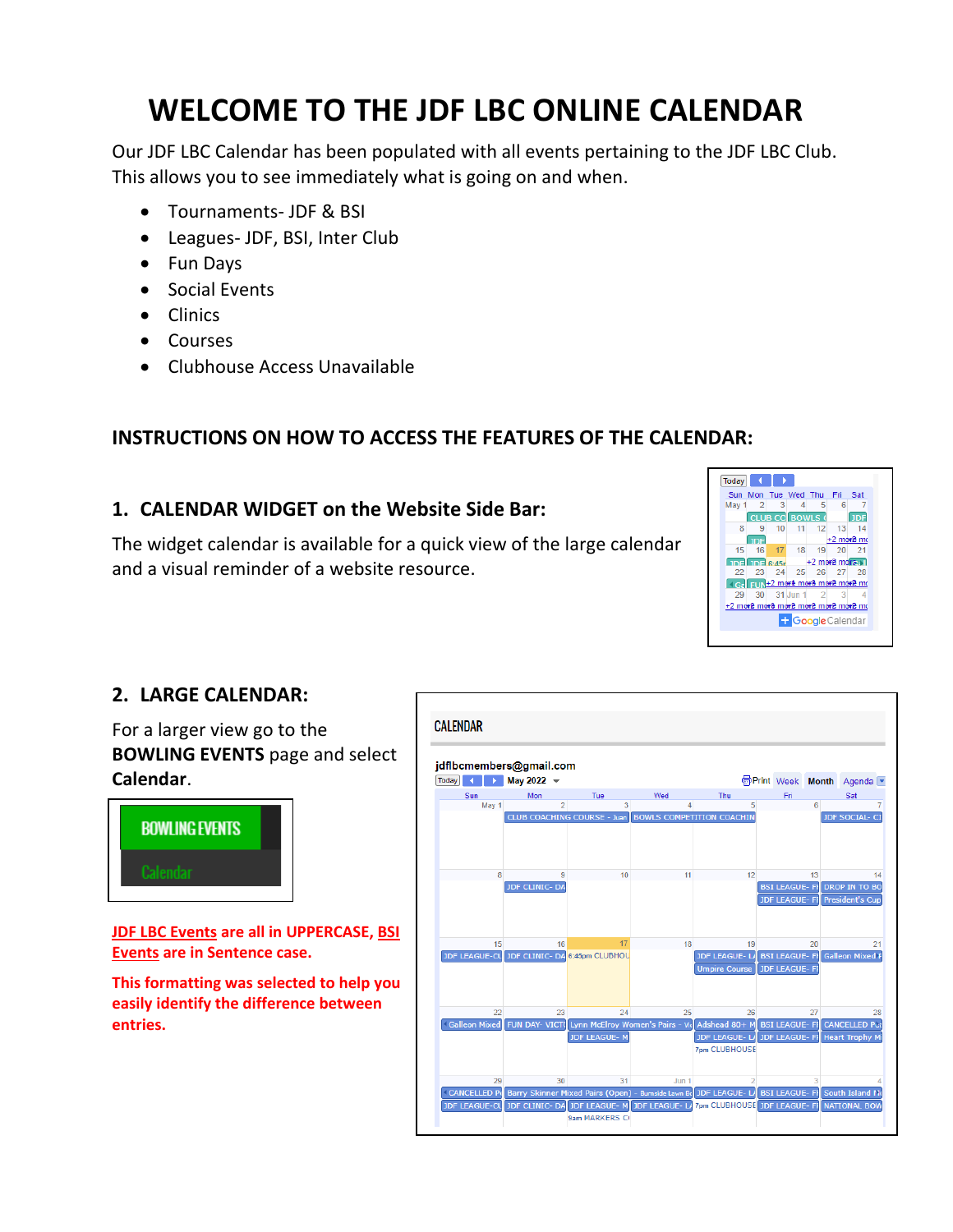# **WELCOME TO THE JDF LBC ONLINE CALENDAR**

Our JDF LBC Calendar has been populated with all events pertaining to the JDF LBC Club. This allows you to see immediately what is going on and when.

- Tournaments- JDF & BSI
- Leagues- JDF, BSI, Inter Club
- Fun Days
- Social Events
- Clinics
- Courses
- Clubhouse Access Unavailable

## **INSTRUCTIONS ON HOW TO ACCESS THE FEATURES OF THE CALENDAR:**

### **1. CALENDAR WIDGET on the Website Side Bar:**

The widget calendar is available for a quick view of the large calendar and a visual reminder of a website resource.



### **2. LARGE CALENDAR:**

For a larger view go to the **BOWLING EVENTS** page and select **Calendar**.



**JDF LBC Events are all in UPPERCASE, BSI Events are in Sentence case.** 

**This formatting was selected to help you easily identify the difference between entries.**

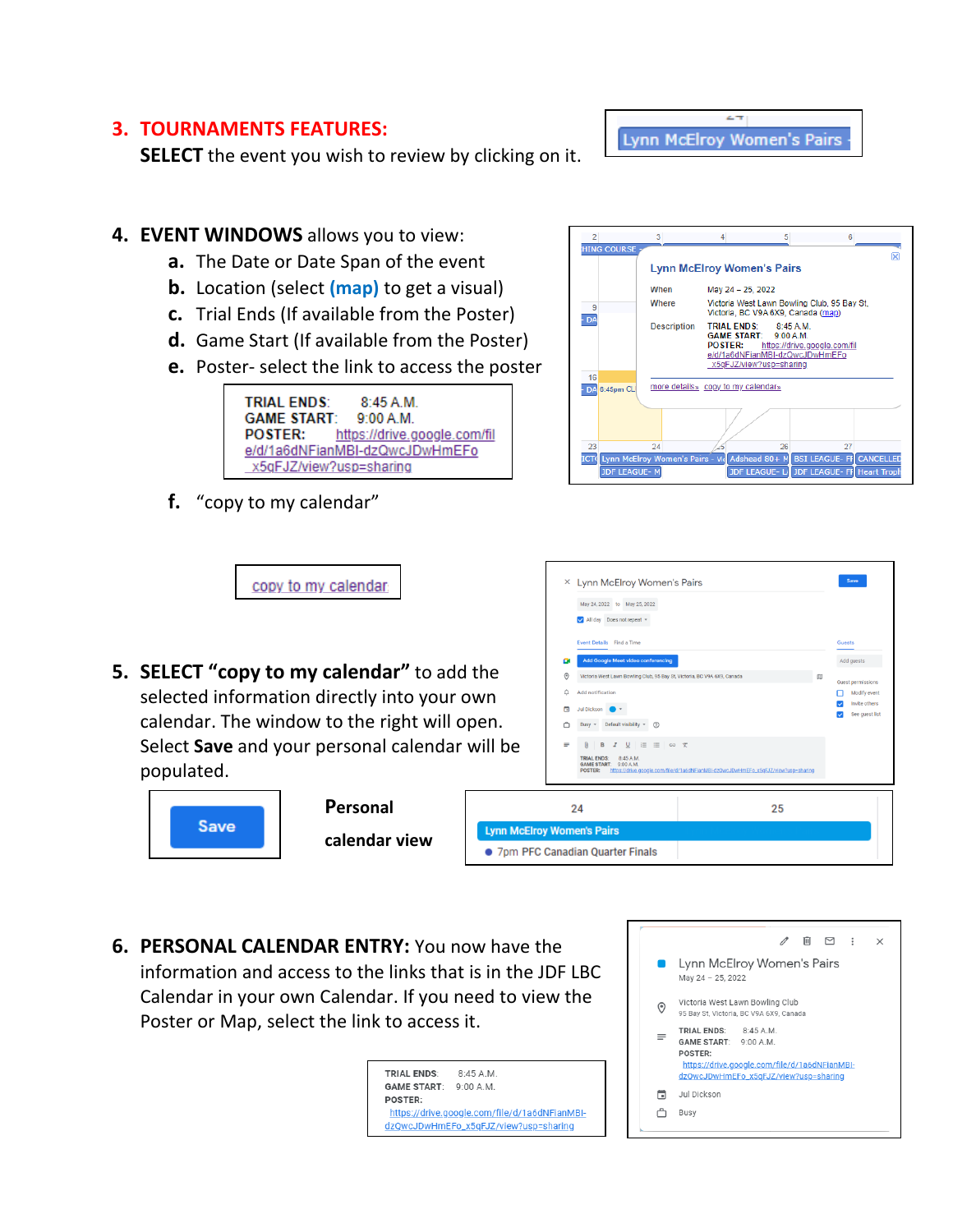#### **3. TOURNAMENTS FEATURES:**

**SELECT** the event you wish to review by clicking on it.

#### **4. EVENT WINDOWS** allows you to view:

- **a.** The Date or Date Span of the event
- **b.** Location (select **(map)** to get a visual)
- **c.** Trial Ends (If available from the Poster)
- **d.** Game Start (If available from the Poster)
- **e.** Poster- select the link to access the poster



**f.** "copy to my calendar"



 $\sim$ **Lynn McElroy Women's Pairs** 

**5. SELECT "copy to my calendar"** to add the selected information directly into your own calendar. The window to the right will open. Select **Save** and your personal calendar will be populated.

copy to my calendar.



**Personal calendar view**

|                                   | Lynn McElroy Women's Pairs<br>×<br>May 24, 2022 to May 25, 2022<br>All day Does not repeat -<br>Event Details Find a Time |                                                                                    | Save<br><b>Guests</b>                |  |  |
|-----------------------------------|---------------------------------------------------------------------------------------------------------------------------|------------------------------------------------------------------------------------|--------------------------------------|--|--|
|                                   | <b>Add Google Meet video conferencing</b><br>o                                                                            |                                                                                    | Add guests                           |  |  |
| ٦e                                | $\odot$<br>Victoria West Lawn Bowling Club, 95 Bay St, Victoria, BC V9A 6X9, Canada                                       |                                                                                    | m<br>Guest permissions               |  |  |
| 'n                                | Add notification<br>Δ                                                                                                     |                                                                                    | Modify event                         |  |  |
|                                   | п<br>Jul Dickson                                                                                                          |                                                                                    | Invite others<br>See guest list<br>◡ |  |  |
| ؛n.                               | Default visibility $\ast$ (?)<br>$Busy =$                                                                                 |                                                                                    |                                      |  |  |
| ill be                            | $I \cup E \equiv \infty$ x<br>≡<br>[0]<br>B                                                                               |                                                                                    |                                      |  |  |
|                                   | <b>TRIAL ENDS:</b><br>8:45 A.M.<br><b>GAME START:</b><br>9:00 A.M.<br><b>POSTER:</b>                                      | https://drive.google.com/file/d/1a6dNFianMBI-dzQwcJDwHmEFo_x5gFJZ/view?usp=sharing |                                      |  |  |
| 24                                |                                                                                                                           | 25                                                                                 |                                      |  |  |
| <b>Lynn McElroy Women's Pairs</b> |                                                                                                                           |                                                                                    |                                      |  |  |
| • 7pm PFC Canadian Quarter Finals |                                                                                                                           |                                                                                    |                                      |  |  |

**6. PERSONAL CALENDAR ENTRY:** You now have the information and access to the links that is in the JDF LBC Calendar in your own Calendar. If you need to view the Poster or Map, select the link to access it.

> **TRIAL ENDS:** 8:45 A.M. GAME START: 9:00 A.M. POSTER: https://drive.google.com/file/d/1a6dNFianMBIdzQwcJDwHmEFo\_x5qFJZ/view?usp=sharing